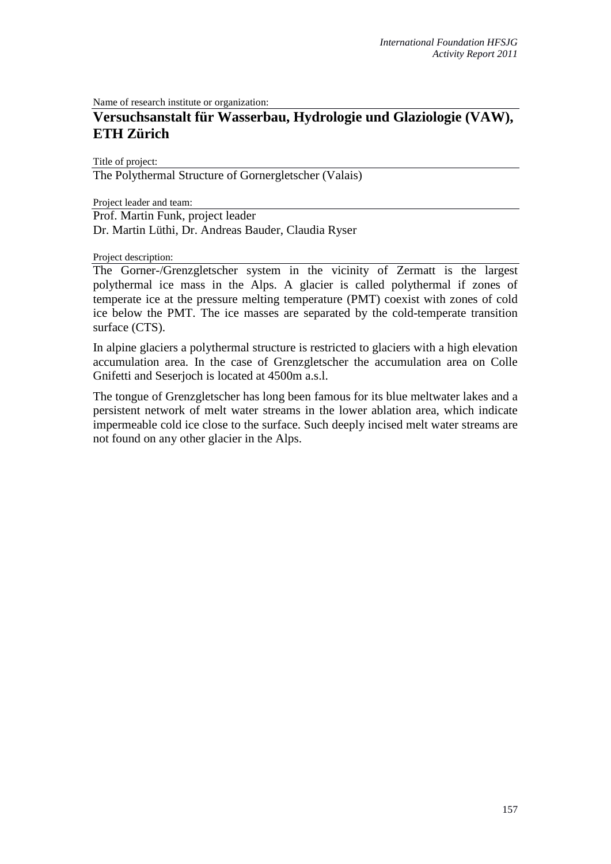Name of research institute or organization:

# **Versuchsanstalt für Wasserbau, Hydrologie und Glaziologie (VAW), ETH Zürich**

Title of project:

The Polythermal Structure of Gornergletscher (Valais)

Project leader and team:

Prof. Martin Funk, project leader

Dr. Martin Lüthi, Dr. Andreas Bauder, Claudia Ryser

Project description:

The Gorner-/Grenzgletscher system in the vicinity of Zermatt is the largest polythermal ice mass in the Alps. A glacier is called polythermal if zones of temperate ice at the pressure melting temperature (PMT) coexist with zones of cold ice below the PMT. The ice masses are separated by the cold-temperate transition surface (CTS).

In alpine glaciers a polythermal structure is restricted to glaciers with a high elevation accumulation area. In the case of Grenzgletscher the accumulation area on Colle Gnifetti and Seserjoch is located at 4500m a.s.l.

The tongue of Grenzgletscher has long been famous for its blue meltwater lakes and a persistent network of melt water streams in the lower ablation area, which indicate impermeable cold ice close to the surface. Such deeply incised melt water streams are not found on any other glacier in the Alps.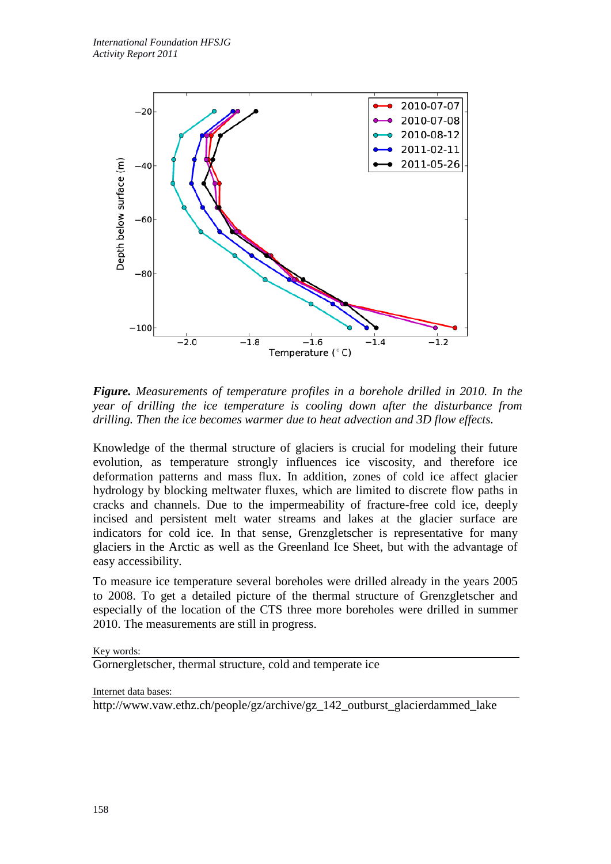

*Figure. Measurements of temperature profiles in a borehole drilled in 2010. In the year of drilling the ice temperature is cooling down after the disturbance from drilling. Then the ice becomes warmer due to heat advection and 3D flow effects.*

Knowledge of the thermal structure of glaciers is crucial for modeling their future evolution, as temperature strongly influences ice viscosity, and therefore ice deformation patterns and mass flux. In addition, zones of cold ice affect glacier hydrology by blocking meltwater fluxes, which are limited to discrete flow paths in cracks and channels. Due to the impermeability of fracture-free cold ice, deeply incised and persistent melt water streams and lakes at the glacier surface are indicators for cold ice. In that sense, Grenzgletscher is representative for many glaciers in the Arctic as well as the Greenland Ice Sheet, but with the advantage of easy accessibility.

To measure ice temperature several boreholes were drilled already in the years 2005 to 2008. To get a detailed picture of the thermal structure of Grenzgletscher and especially of the location of the CTS three more boreholes were drilled in summer 2010. The measurements are still in progress.

Key words:

Gornergletscher, thermal structure, cold and temperate ice

Internet data bases:

http://www.vaw.ethz.ch/people/gz/archive/gz\_142\_outburst\_glacierdammed\_lake